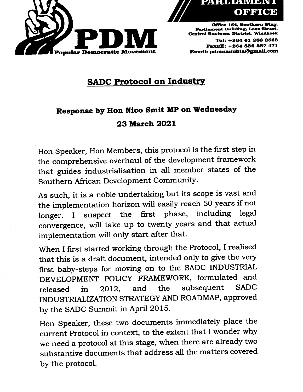



Office 154, Southern Wing, Parliament Building, Love Street, Central Business District. Windhoek Tel: +28481 288 2583 FaxSE: +284 888 557 471 Email: pdmnamibia@gmail.com

## SADC Protocol on Industry

## Response by Hon Nico Smit MP on Wednesday

## 23 March 2021

Hon Speaker, Hon Members, this protocol is the first step in the comprehensive overhaul of the development framework that guides industrialisation in all member states of the Southern African Development Community.

As such, it is a noble undertaking but its scope is vast and the implementation horizon will easily reach 50 years if not longer. I suspect the first phase, including legal convergence, will take up to twenty years and that actual implementation will only start after that.

When I first started working through the Protocol, I realised that this is a draft document, intended only to give the very first baby-steps for moving on to the SADC INDUSTRIAL DEVELOPMENT POLICY FRAMEWORK, formulated and released in 2012, and the subsequent SADC INDUSTRIALIZATION STRATEGY AND ROADMAP, approved by the SADC Summit in April 2015.

Hon Speaker, these two documents immediately place the current Protocol in context, to the extent that I wonder why we need a protocol at this stage, when there are already two substantive documents that address all the matters covered by the protocol.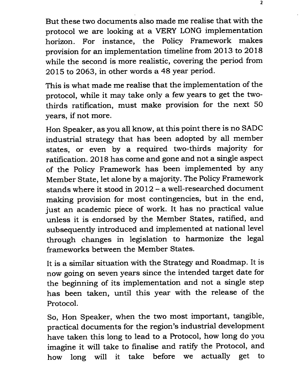But these two documents also made me realise that with the protocol we are looking at a VERY LONG implementation horizon. For instance, the Policy Framework makes provision for an implementation timeline from 2013 to 2018 while the second is more realistic, covering the period from 2015 to 2063, in other words a 48 year period.

This is what made me realise that the implementation of the protocol, while it may take only a few years to get the twothirds ratification, must make provision for the next 50 years, if not more.

Hon Speaker, as you all know, at this point there is no SADC industrial strategy that has been adopted by all member states, or even by a required two-thirds majority for ratification. 2018 has come and gone and not a single aspect of the Policy Framework has been implemented by any Member State, let alone by a majority. The Policy Framework stands where it stood in 2012 - a well-researched document making provision for most contingencies, but in the end, just an academic piece of work. It has no practical value unless it is endorsed by the Member States, ratified, and subsequently introduced and implemented at national level through changes in legislation to harmonize the legal frameworks between the Member States.

It is a similar situation with the Strategy and Roadmap. It is now going on seven years since the intended target date for the beginning of its implementation and not a single step has been taken, until this year with the release of the Protocol.

So, Hon Speaker, when the two most important, tangible, practical documents for the region's industrial development have taken this long to lead to a Protocol, how long do you imagine it will take to finalise and ratify the Protocol, and how long will it take before we actually get to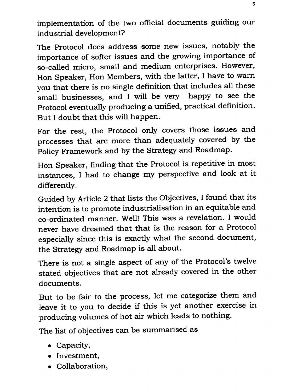implementation of the two official documents guiding our industrial development?

The Protocol does address some new issues, notably the importance of softer issues and the growing importance of so-called micro, small and medium enterprises. However, Hon Speaker, Hon Members, with the latter, I have to warn you that there is no single definition that includes all these small businesses, and I will be very happy to see the Protocol eventually producing a unified, practical definition. But I doubt that this will happen.

For the rest, the Protocol only covers those issues and processes that are more than adequately covered by the Policy Framework and by the Strategy and Roadmap.

Hon Speaker, finding that the Protocol is repetitive in most instances, I had to change my perspective and look at it differently.

Guided by Article 2 that lists the Objectives, I found that its intention is to promote industrialisation in an equitable and co-ordinated manner. Well! This was a revelation. I would never have dreamed that that is the reason for a Protocol especially since this is exactly what the second document, the Strategy and Roadmap is all about.

There is not a single aspect of any of the Protocol's twelve stated objectives that are not already covered in the other documents.

But to be fair to the process, let me categorize them and leave it to you to decide if this is yet another exercise in producing volumes of hot air which leads to nothing.

The list of objectives can be summarised as

- Capacity,
- Investment,
- Collaboration,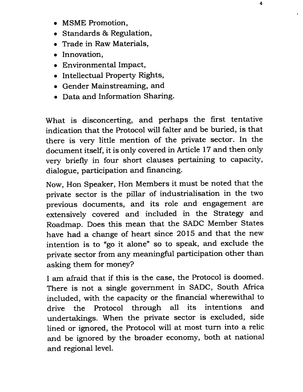- MSME Promotion,
- Standards & Regulation,
- Trade in Raw Materials,
- Innovation,
- Environmental Impact,
- Intellectual Property Rights,
- Gender Mainstreaming, and
- Data and Information Sharing.

What is disconcerting, and perhaps the first tentative indication that the Protocol will falter and be buried, is that there is very little mention of the private sector. In the document itself, it is only covered in Article 17 and then only very briefly in four short clauses pertaining to capacity, dialogue, participation and financing.

Now, Hon Speaker, Hon Members it must be noted that the private sector is the pillar of industrialisation in the two previous documents, and its role and engagement are extensively covered and included in the Strategy and Roadmap. Does this mean that the SADC Member States have had a change of heart since 2015 and that the new intention is to "go it alone" so to speak, and exclude the private sector from any meaningful participation other than asking them for money?

I am afraid that if this is the case, the Protocol is doomed. There is not a single government in SADC, South Africa included, with the capacity or the financial wherewithal to drive the Protocol through all its intentions and undertakings. When the private sector is excluded, side lined or ignored, the Protocol will at most turn into a relic and be ignored by the broader economy, both at national and regional level.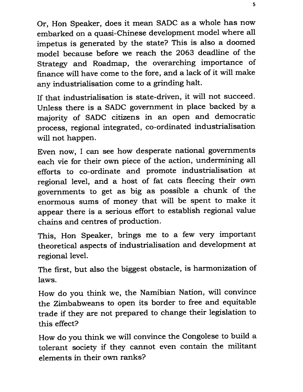Or, Hon Speaker, does it mean SADC as a whole has now embarked on a quasi-Chinese development model where all impetus is generated by the state? This is also a doomed model because before we reach the 2063 deadline of the Strategy and Roadmap, the overarching importance of finance will have come to the fore, and a lack of it will make any industrialisation come to a grinding halt.

If that industrialisation is state-driven, it will not succeed. Unless there is a SADC government in place backed by a majority of SADC citizens in an open and democratic process, regional integrated, co-ordinated industrialisation will not happen.

Even now, I can see how desperate national governments each vie for their own piece of the action, undermining all efforts to co-ordinate and promote industrialisation at regional level, and a host of fat cats fleecing their own governments to get as big as possible a chunk of the enormous sums of money that will be spent to make it appear there is a serious effort to establish regional value chains and centres of production.

This, Hon Speaker, brings me to a few very important theoretical aspects of industrialisation and development at regional level.

The first, but also the biggest obstacle, is harmonization of laws.

How do you think we, the Namibian Nation, will convince the Zimbabweans to open its border to free and equitable trade if they are not prepared to change their legislation to this effect?

How do you think we will convince the Congolese to build a tolerant society if they cannot even contain the militant elements in their own ranks?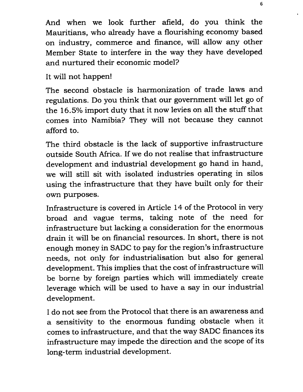And when we look further afield, do you think the Mauritians, who already have a flourishing economy based on industry, commerce and finance, will allow any other Member State to interfere in the way they have developed and nurtured their economic model?

## It will not happen!

The second obstacle is harmonization of trade laws and regulations. Do you think that our government will let go of the 16.5% import duty that it now levies on all the stuff that comes into Namibia? They will not because they cannot afford to.

The third obstacle is the lack of supportive infrastructure outside South Africa. If we do not realise that infrastructure development and industrial development go hand in hand, we will still sit with isolated industries operating in silos using the infrastructure that they have built only for their own purposes.

Infrastructure is covered in Article 14 of the Protocol in very broad and vague terms, taking note of the need for infrastructure but lacking a consideration for the enormous drain it will be on financial resources. In short, there is not enough money in SADC to pay for the region's infrastructure needs, not only for industrialisation but also for general development. This implies that the cost of infrastructure will be borne by foreign parties which will immediately create leverage which will be used to have a say in our industrial development.

I do not see from the Protocol that there is an awareness and a sensitivity to the enormous funding obstacle when it comes to infrastructure, and that the way SADC finances its infrastructure may impede the direction and the scope of its long-term industrial development.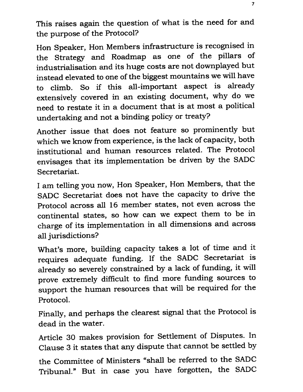This raises again the question of what is the need for and the purpose of the Protocol?

Hon Speaker, Hon Members infrastructure is recognised in the Strategy and Roadmap as one of the pillars of industrialisation and its huge costs are not downplayed but instead elevated to one of the biggest mountains we will have to climb. So if this all-important aspect is already extensively covered in an existing document, why do we need to restate it in a document that is at most a political undertaking and not a binding policy or treaty?

Another issue that does not feature so prominently but which we know from experience, is the lack of capacity, both institutional and human resources related. The Protocol envisages that its implementation be driven by the SADC Secretariat.

I am telling you now, Hon Speaker, Hon Members, that the SADC Secretariat does not have the capacity to drive the Protocol across all 16 member states, not even across the continental states, so how can we expect them to be in charge of its implementation in all dimensions and across all jurisdictions?

What's more, building capacity takes a lot of time and it requires adequate funding. If the SADC Secretariat is already so severely constrained by a lack of funding, it will prove extremely difficult to find more funding sources to support the human resources that will be required for the Protocol.

Finally, and perhaps the clearest signal that the Protocol is dead in the water.

Article 30 makes provision for Settlement of Disputes. In Clause 3 it states that any dispute that cannot be settled by

the Committee of Ministers "shall be referred to the SADC Tribunal." But in case you have forgotten, the SADC